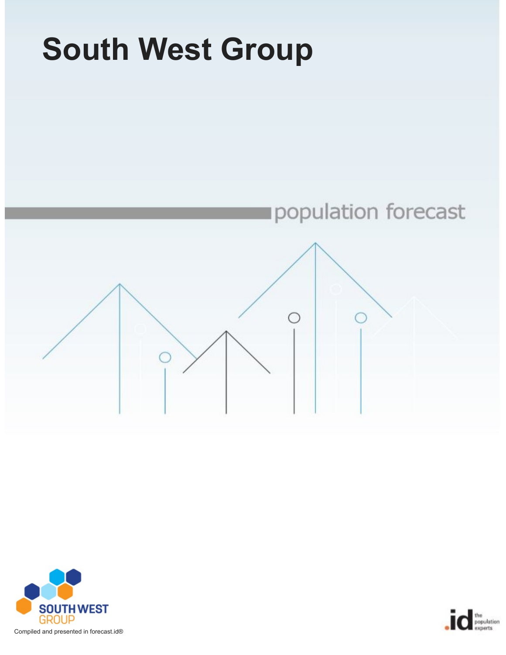



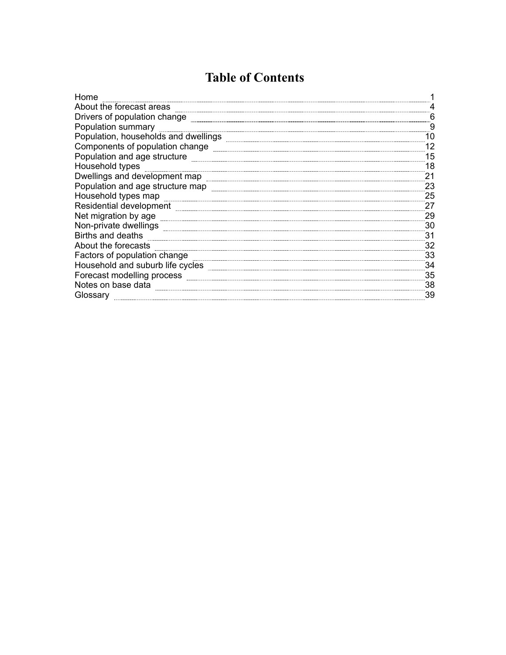## **Table of Contents**

| Home                                 |    |
|--------------------------------------|----|
| About the forecast areas             |    |
| Drivers of population change         | 6  |
| Population summary                   | 9  |
| Population, households and dwellings | 10 |
| Components of population change      |    |
| Population and age structure         | 15 |
| Household types                      | 18 |
| Dwellings and development map        | 21 |
| Population and age structure map     | 23 |
| Household types map                  | 25 |
| Residential development              | 27 |
| Net migration by age                 | 29 |
| Non-private dwellings                | 30 |
| Births and deaths                    | 31 |
| About the forecasts                  | 32 |
| Factors of population change         | 33 |
| Household and suburb life cycles     | 34 |
| Forecast modelling process           | 35 |
| Notes on base data                   | 38 |
| Glossary                             | 39 |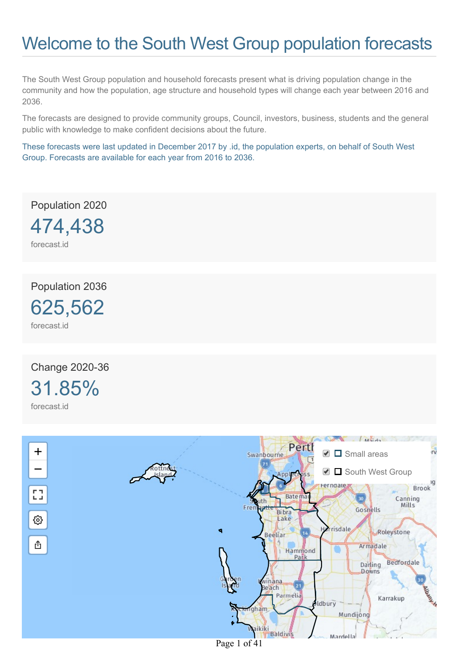# <span id="page-2-0"></span>Welcome to the South West Group population forecasts

The South West Group population and household forecasts present what is driving population change in the community and how the population, age structure and household types will change each year between 2016 and 2036.

The forecasts are designed to provide community groups, Council, investors, business, students and the general public with knowledge to make confident decisions about the future.

These forecasts were last updated in December 2017 by .id, the population experts, on behalf of South West Group. Forecasts are available for each year from 2016 to 2036.

Population 2020

474,438

forecast.id

Population 2036

625,562 forecast.id

Change 2020-36 31.85% forecast.id

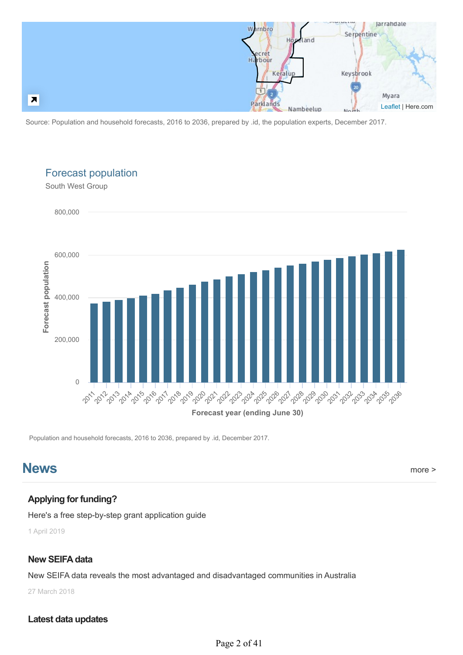

Source: Population and household forecasts, 2016 to 2036, prepared by .id, the population experts, December 2017.



Forecast population

Population and household forecasts, 2016 to 2036, prepared by .id, December 2017.

### **News** [more >](https://blog.id.com.au/)

### **Applying for funding?**

[Here's a free step-by-step grant application guide](https://blog.id.com.au/2017/how-to/applying-for-funding-heres-a-free-step-by-step-grant-application-guide)

1 April 2019

#### **New SEIFA data**

[New SEIFA data reveals the most advantaged and disadvantaged communities in Australia](https://blog.id.com.au/2018/population/demographic-trends/new-insights-to-social-disadvantage-new-seifa-data-released)

27 March 2018

#### **Latest data updates**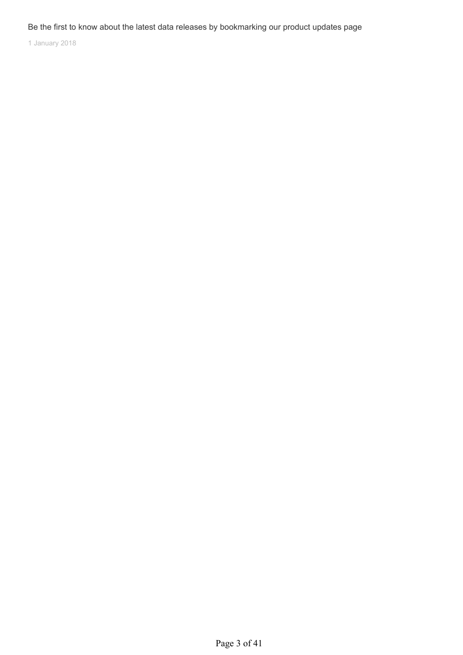#### Be the first to know about the latest data releases by bookmarking our product updates page

1 January 2018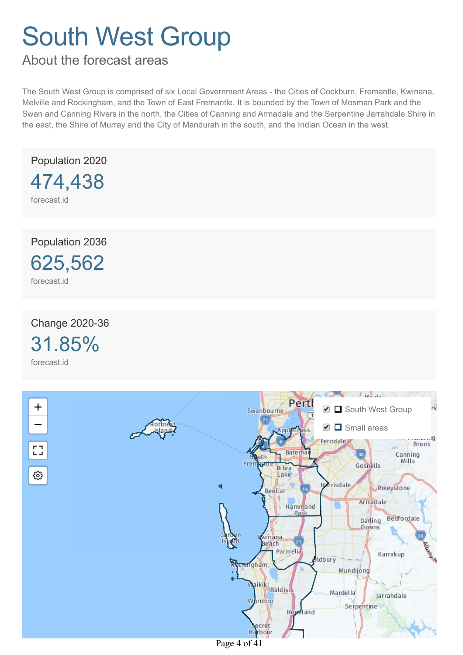<span id="page-5-0"></span>About the forecast areas

The South West Group is comprised of six Local Government Areas - the Cities of Cockburn, Fremantle, Kwinana, Melville and Rockingham, and the Town of East Fremantle. It is bounded by the Town of Mosman Park and the Swan and Canning Rivers in the north, the Cities of Canning and Armadale and the Serpentine Jarrahdale Shire in the east, the Shire of Murray and the City of Mandurah in the south, and the Indian Ocean in the west.

Population 2020 474,438

forecast.id

Population 2036

625,562 forecast.id

Change 2020-36

31.85% forecast.id



Page 4 of 41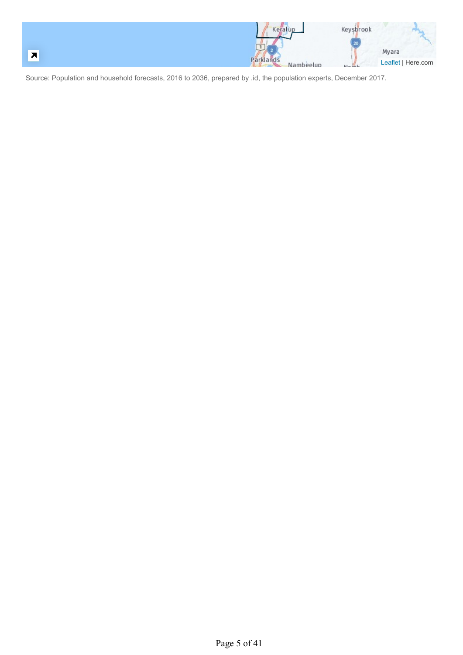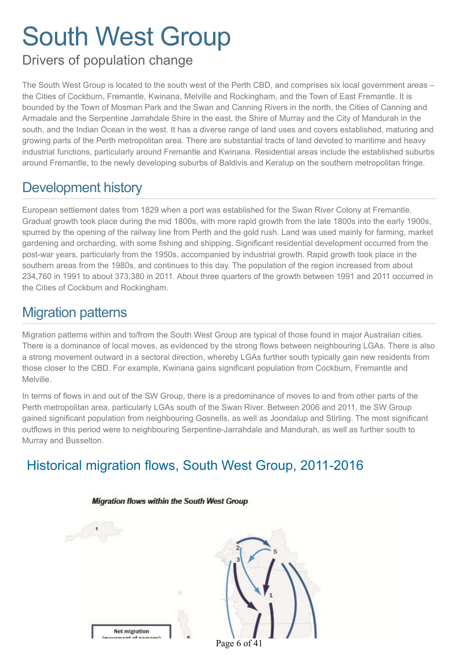# Drivers of population change

The South West Group is located to the south west of the Perth CBD, and comprises six local government areas – the Cities of Cockburn, Fremantle, Kwinana, Melville and Rockingham, and the Town of East Fremantle. It is bounded by the Town of Mosman Park and the Swan and Canning Rivers in the north, the Cities of Canning and Armadale and the Serpentine Jarrahdale Shire in the east, the Shire of Murray and the City of Mandurah in the south, and the Indian Ocean in the west. It has a diverse range of land uses and covers established, maturing and growing parts of the Perth metropolitan area. There are substantial tracts of land devoted to maritime and heavy industrial functions, particularly around Fremantle and Kwinana. Residential areas include the established suburbs around Fremantle, to the newly developing suburbs of Baldivis and Keralup on the southern metropolitan fringe.

# Development history

European settlement dates from 1829 when a port was established for the Swan River Colony at Fremantle. Gradual growth took place during the mid 1800s, with more rapid growth from the late 1800s into the early 1900s, spurred by the opening of the railway line from Perth and the gold rush. Land was used mainly for farming, market gardening and orcharding, with some fishing and shipping. Significant residential development occurred from the post-war years, particularly from the 1950s, accompanied by industrial growth. Rapid growth took place in the southern areas from the 1980s, and continues to this day. The population of the region increased from about 234,760 in 1991 to about 373,380 in 2011. About three quarters of the growth between 1991 and 2011 occurred in the Cities of Cockburn and Rockingham.

# Migration patterns

Migration patterns within and to/from the South West Group are typical of those found in major Australian cities. There is a dominance of local moves, as evidenced by the strong flows between neighbouring LGAs. There is also a strong movement outward in a sectoral direction, whereby LGAs further south typically gain new residents from those closer to the CBD. For example, Kwinana gains significant population from Cockburn, Fremantle and Melville.

In terms of flows in and out of the SW Group, there is a predominance of moves to and from other parts of the Perth metropolitan area, particularly LGAs south of the Swan River. Between 2006 and 2011, the SW Group gained significant population from neighbouring Gosnells, as well as Joondalup and Stirling. The most significant outflows in this period were to neighbouring Serpentine-Jarrahdale and Mandurah, as well as further south to Murray and Busselton.

# Historical migration flows, South West Group, 2011-2016



#### Migration flows within the South West Group

Page 6 of 41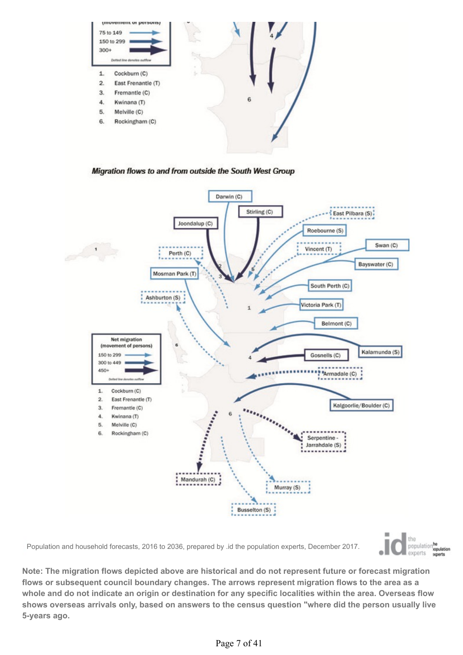

Migration flows to and from outside the South West Group



Population and household forecasts, 2016 to 2036, prepared by .id the population experts, December 2017.



**Note: The migration flows depicted above are historical and do not represent future or forecast migration flows or subsequent council boundary changes. The arrows represent migration flows to the area as a whole and do not indicate an origin or destination for any specific localities within the area. Overseas flow shows overseas arrivals only, based on answers to the census question "where did the person usually live 5-years ago.**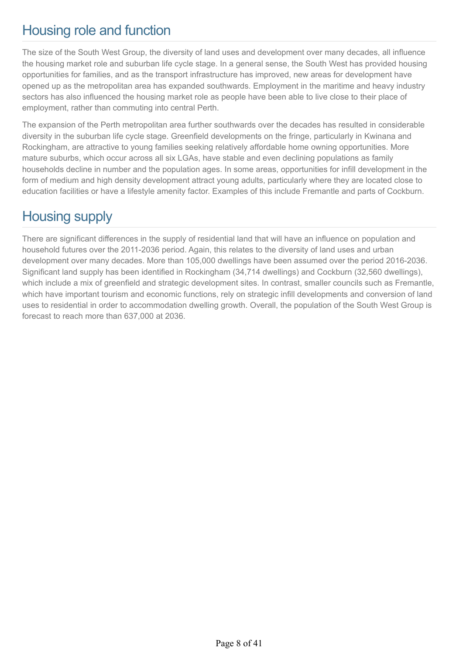# Housing role and function

The size of the South West Group, the diversity of land uses and development over many decades, all influence the housing market role and suburban life cycle stage. In a general sense, the South West has provided housing opportunities for families, and as the transport infrastructure has improved, new areas for development have opened up as the metropolitan area has expanded southwards. Employment in the maritime and heavy industry sectors has also influenced the housing market role as people have been able to live close to their place of employment, rather than commuting into central Perth.

The expansion of the Perth metropolitan area further southwards over the decades has resulted in considerable diversity in the suburban life cycle stage. Greenfield developments on the fringe, particularly in Kwinana and Rockingham, are attractive to young families seeking relatively affordable home owning opportunities. More mature suburbs, which occur across all six LGAs, have stable and even declining populations as family households decline in number and the population ages. In some areas, opportunities for infill development in the form of medium and high density development attract young adults, particularly where they are located close to education facilities or have a lifestyle amenity factor. Examples of this include Fremantle and parts of Cockburn.

# Housing supply

There are significant differences in the supply of residential land that will have an influence on population and household futures over the 2011-2036 period. Again, this relates to the diversity of land uses and urban development over many decades. More than 105,000 dwellings have been assumed over the period 2016-2036. Significant land supply has been identified in Rockingham (34,714 dwellings) and Cockburn (32,560 dwellings), which include a mix of greenfield and strategic development sites. In contrast, smaller councils such as Fremantle, which have important tourism and economic functions, rely on strategic infill developments and conversion of land uses to residential in order to accommodation dwelling growth. Overall, the population of the South West Group is forecast to reach more than 637,000 at 2036.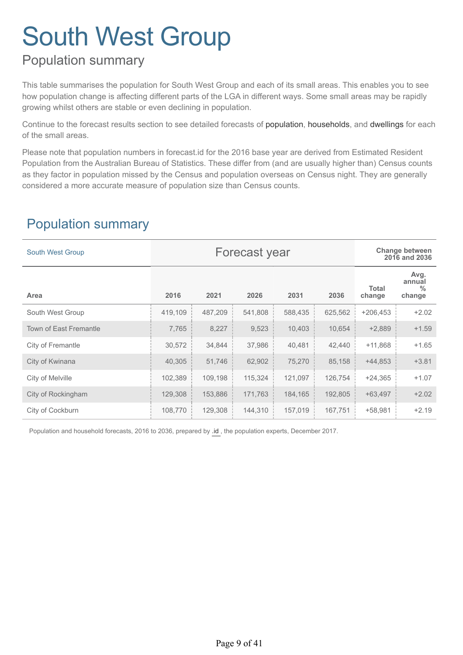# Population summary

This table summarises the population for South West Group and each of its small areas. This enables you to see how population change is affecting different parts of the LGA in different ways. Some small areas may be rapidly growing whilst others are stable or even declining in population.

Continue to the forecast results section to see detailed forecasts of population, households, and dwellings for each of the small areas.

Please note that population numbers in forecast.id for the 2016 base year are derived from Estimated Resident Population from the Australian Bureau of Statistics. These differ from (and are usually higher than) Census counts as they factor in population missed by the Census and population overseas on Census night. They are generally considered a more accurate measure of population size than Census counts.

## Population summary

| <b>South West Group</b>       | Forecast year |         |         |         |         |                        | <b>Change between</b><br>2016 and 2036    |
|-------------------------------|---------------|---------|---------|---------|---------|------------------------|-------------------------------------------|
| Area                          | 2016          | 2021    | 2026    | 2031    | 2036    | <b>Total</b><br>change | Avg.<br>annual<br>$\frac{0}{0}$<br>change |
| South West Group              | 419,109       | 487,209 | 541,808 | 588,435 | 625,562 | $+206,453$             | $+2.02$                                   |
| <b>Town of East Fremantle</b> | 7,765         | 8,227   | 9,523   | 10,403  | 10,654  | $+2,889$               | $+1.59$                                   |
| City of Fremantle             | 30,572        | 34,844  | 37,986  | 40,481  | 42,440  | $+11,868$              | $+1.65$                                   |
| City of Kwinana               | 40,305        | 51,746  | 62,902  | 75,270  | 85,158  | $+44,853$              | $+3.81$                                   |
| City of Melville              | 102,389       | 109,198 | 115,324 | 121,097 | 126,754 | $+24,365$              | $+1.07$                                   |
| City of Rockingham            | 129,308       | 153,886 | 171,763 | 184,165 | 192,805 | $+63,497$              | $+2.02$                                   |
| City of Cockburn              | 108,770       | 129,308 | 144,310 | 157,019 | 167,751 | $+58,981$              | $+2.19$                                   |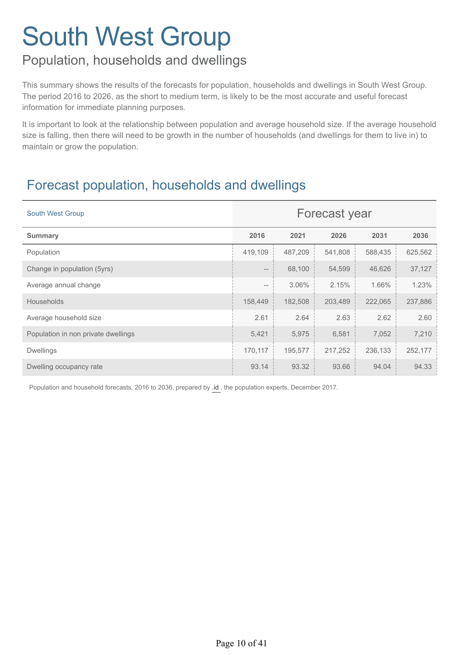# Population, households and dwellings

This summary shows the results of the forecasts for population, households and dwellings in South West Group. The period 2016 to 2026, as the short to medium term, is likely to be the most accurate and useful forecast information for immediate planning purposes.

It is important to look at the relationship between population and average household size. If the average household size is falling, then there will need to be growth in the number of households (and dwellings for them to live in) to maintain or grow the population.

# Forecast population, households and dwellings

| <b>South West Group</b>             | Forecast year |         |         |         |         |
|-------------------------------------|---------------|---------|---------|---------|---------|
| <b>Summary</b>                      | 2016          | 2021    | 2026    | 2031    | 2036    |
| Population                          | 419,109       | 487,209 | 541,808 | 588,435 | 625,562 |
| Change in population (5yrs)         | $-\!$         | 68,100  | 54,599  | 46,626  | 37,127  |
| Average annual change               | $-\!$         | 3.06%   | 2.15%   | 1.66%   | 1.23%   |
| <b>Households</b>                   | 158,449       | 182,508 | 203,489 | 222,065 | 237,886 |
| Average household size              | 2.61          | 2.64    | 2.63    | 2.62    | 2.60    |
| Population in non private dwellings | 5,421         | 5,975   | 6,581   | 7,052   | 7,210   |
| <b>Dwellings</b>                    | 170,117       | 195,577 | 217,252 | 236,133 | 252,177 |
| Dwelling occupancy rate             | 93.14         | 93.32   | 93.66   | 94.04   | 94.33   |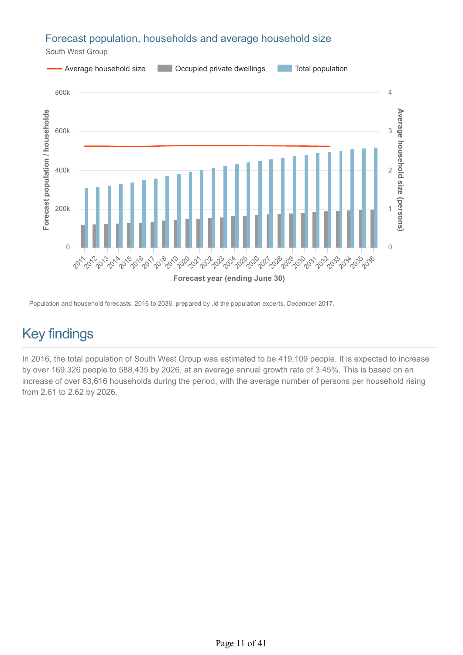### Forecast population, households and average household size

South West Group



Population and household forecasts, 2016 to 2036, prepared by .id the population experts, December 2017.

# Key findings

In 2016, the total population of South West Group was estimated to be 419,109 people. It is expected to increase by over 169,326 people to 588,435 by 2026, at an average annual growth rate of 3.45%. This is based on an increase of over 63,616 households during the period, with the average number of persons per household rising from 2.61 to 2.62 by 2026.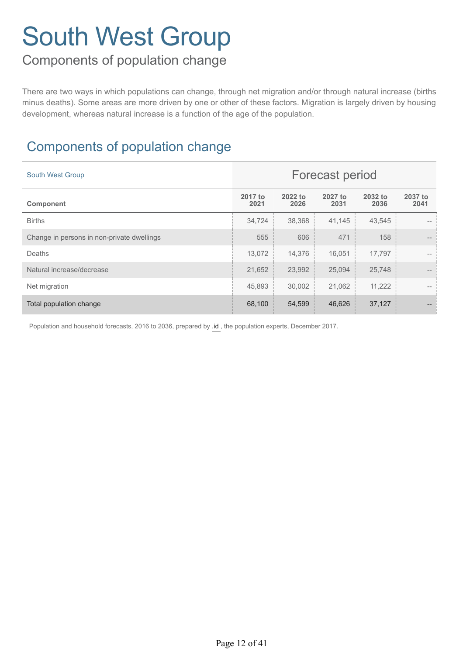# Components of population change

There are two ways in which populations can change, through net migration and/or through natural increase (births minus deaths). Some areas are more driven by one or other of these factors. Migration is largely driven by housing development, whereas natural increase is a function of the age of the population.

# Components of population change

| <b>South West Group</b>                    | <b>Forecast period</b> |                 |                 |                 |                 |
|--------------------------------------------|------------------------|-----------------|-----------------|-----------------|-----------------|
| Component                                  | 2017 to<br>2021        | 2022 to<br>2026 | 2027 to<br>2031 | 2032 to<br>2036 | 2037 to<br>2041 |
| <b>Births</b>                              | 34,724                 | 38,368          | 41,145          | 43,545          |                 |
| Change in persons in non-private dwellings | 555                    | 606             | 471             | 158             |                 |
| Deaths                                     | 13,072                 | 14,376          | 16,051          | 17,797          |                 |
| Natural increase/decrease                  | 21,652                 | 23,992          | 25,094          | 25,748          |                 |
| Net migration                              | 45,893                 | 30,002          | 21,062          | 11,222          |                 |
| Total population change                    | 68,100                 | 54,599          | 46,626          | 37,127          |                 |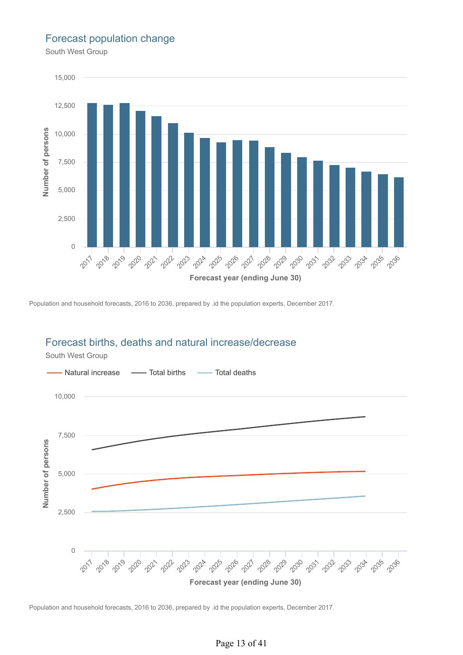#### Forecast population change

South West Group



Population and household forecasts, 2016 to 2036, prepared by .id the population experts, December 2017.

### Forecast births, deaths and natural increase/decrease



South West Group

Population and household forecasts, 2016 to 2036, prepared by .id the population experts, December 2017.

#### Page 13 of 41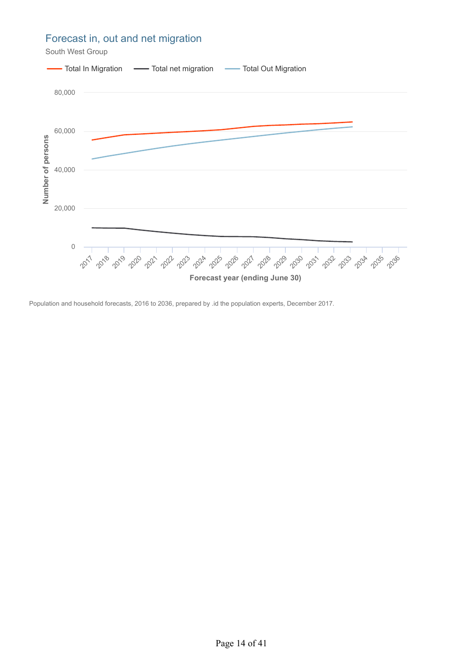### Forecast in, out and net migration

South West Group

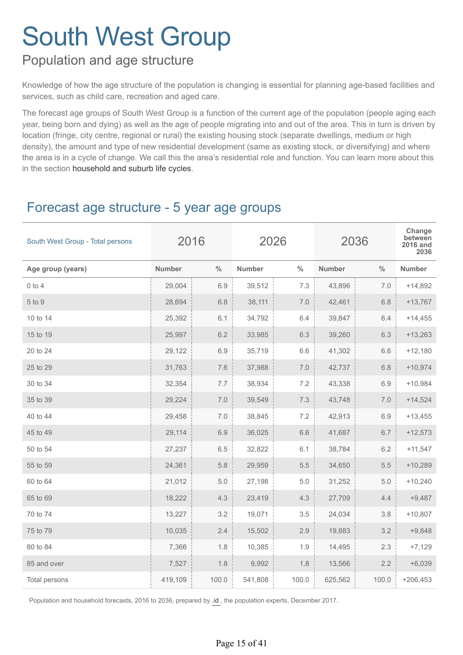## Population and age structure

Knowledge of how the age structure of the population is changing is essential for planning age-based facilities and services, such as child care, recreation and aged care.

The forecast age groups of South West Group is a function of the current age of the population (people aging each year, being born and dying) as well as the age of people migrating into and out of the area. This in turn is driven by location (fringe, city centre, regional or rural) the existing housing stock (separate dwellings, medium or high density), the amount and type of new residential development (same as existing stock, or diversifying) and where the area is in a cycle of change. We call this the area's residential role and function. You can learn more about this in the section household and suburb life cycles.

# Forecast age structure - 5 year age groups

| South West Group - Total persons | 2016          |               | 2026          |               |               | 2036          | Change<br>between<br>2016 and<br>2036 |
|----------------------------------|---------------|---------------|---------------|---------------|---------------|---------------|---------------------------------------|
| Age group (years)                | <b>Number</b> | $\frac{0}{0}$ | <b>Number</b> | $\frac{0}{0}$ | <b>Number</b> | $\frac{0}{0}$ | <b>Number</b>                         |
| $0$ to $4$                       | 29,004        | 6.9           | 39,512        | 7.3           | 43,896        | 7.0           | $+14,892$                             |
| 5 to 9                           | 28,694        | 6.8           | 38,111        | 7.0           | 42,461        | 6.8           | $+13,767$                             |
| 10 to 14                         | 25,392        | 6.1           | 34,792        | 6.4           | 39,847        | 6.4           | $+14,455$                             |
| 15 to 19                         | 25,997        | 6.2           | 33,985        | 6.3           | 39,260        | 6.3           | $+13,263$                             |
| 20 to 24                         | 29,122        | 6.9           | 35,719        | 6.6           | 41,302        | 6.6           | $+12,180$                             |
| 25 to 29                         | 31,763        | 7.6           | 37,988        | 7.0           | 42,737        | 6.8           | $+10,974$                             |
| 30 to 34                         | 32,354        | 7.7           | 38,934        | 7.2           | 43,338        | 6.9           | $+10,984$                             |
| 35 to 39                         | 29,224        | 7.0           | 39,549        | 7.3           | 43,748        | 7.0           | $+14,524$                             |
| 40 to 44                         | 29,458        | 7.0           | 38,845        | 7.2           | 42,913        | 6.9           | $+13,455$                             |
| 45 to 49                         | 29,114        | 6.9           | 36,025        | 6.6           | 41,687        | 6.7           | $+12,573$                             |
| 50 to 54                         | 27,237        | 6.5           | 32,822        | 6.1           | 38,784        | 6.2           | $+11,547$                             |
| 55 to 59                         | 24,361        | 5.8           | 29,959        | 5.5           | 34,650        | 5.5           | $+10,289$                             |
| 60 to 64                         | 21,012        | 5.0           | 27,198        | 5.0           | 31,252        | 5.0           | $+10,240$                             |
| 65 to 69                         | 18,222        | 4.3           | 23,419        | 4.3           | 27,709        | 4.4           | $+9,487$                              |
| 70 to 74                         | 13,227        | 3.2           | 19,071        | 3.5           | 24,034        | 3.8           | $+10,807$                             |
| 75 to 79                         | 10,035        | 2.4           | 15,502        | 2.9           | 19,883        | 3.2           | $+9,848$                              |
| 80 to 84                         | 7,366         | 1.8           | 10,385        | 1.9           | 14,495        | 2.3           | $+7,129$                              |
| 85 and over                      | 7,527         | 1.8           | 9,992         | 1.8           | 13,566        | 2.2           | $+6,039$                              |
| Total persons                    | 419,109       | 100.0         | 541,808       | 100.0         | 625,562       | 100.0         | $+206,453$                            |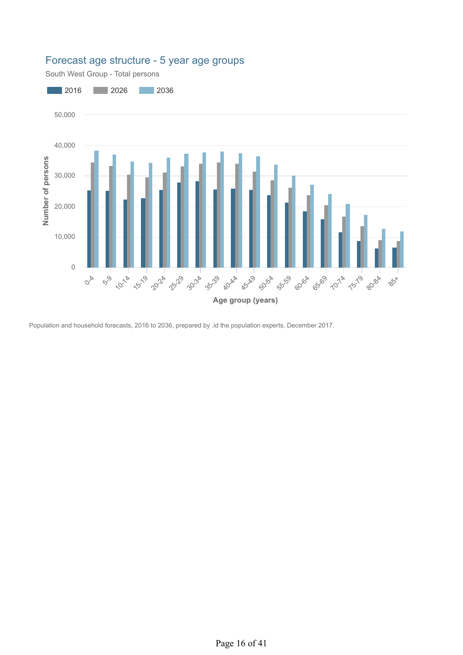

### Forecast age structure - 5 year age groups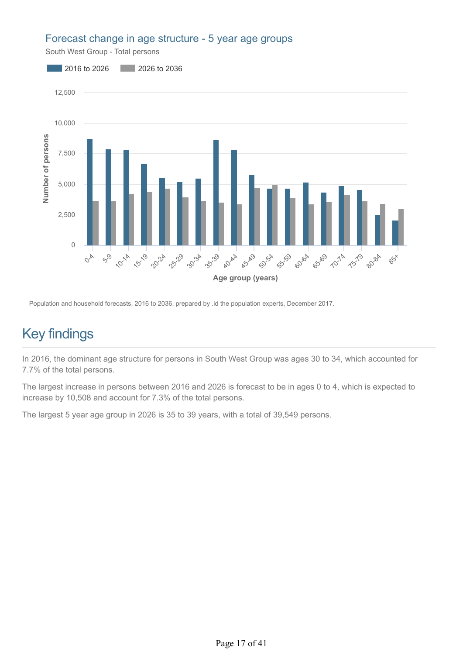#### Forecast change in age structure - 5 year age groups

South West Group - Total persons



Population and household forecasts, 2016 to 2036, prepared by .id the population experts, December 2017.

# Key findings

In 2016, the dominant age structure for persons in South West Group was ages 30 to 34, which accounted for 7.7% of the total persons.

The largest increase in persons between 2016 and 2026 is forecast to be in ages 0 to 4, which is expected to increase by 10,508 and account for 7.3% of the total persons.

The largest 5 year age group in 2026 is 35 to 39 years, with a total of 39,549 persons.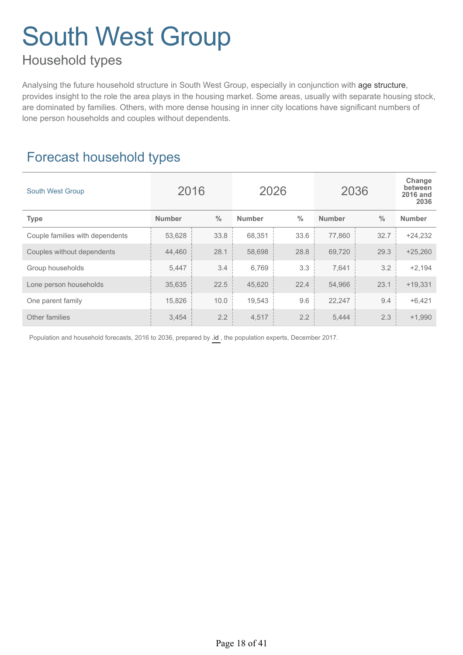## Household types

Analysing the future household structure in South West Group, especially in conjunction with age structure, provides insight to the role the area plays in the housing market. Some areas, usually with separate housing stock, are dominated by families. Others, with more dense housing in inner city locations have significant numbers of lone person households and couples without dependents.

# Forecast household types

| <b>South West Group</b>         | 2016          |               | 2026          |               | 2036          |               | Change<br>between<br><b>2016 and</b><br>2036 |
|---------------------------------|---------------|---------------|---------------|---------------|---------------|---------------|----------------------------------------------|
| <b>Type</b>                     | <b>Number</b> | $\frac{0}{0}$ | <b>Number</b> | $\frac{0}{0}$ | <b>Number</b> | $\frac{0}{0}$ | <b>Number</b>                                |
| Couple families with dependents | 53,628        | 33.8          | 68,351        | 33.6          | 77,860        | 32.7          | $+24,232$                                    |
| Couples without dependents      | 44,460        | 28.1          | 58,698        | 28.8          | 69,720        | 29.3          | $+25,260$                                    |
| Group households                | 5,447         | 3.4           | 6,769         | 3.3           | 7,641         | 3.2           | $+2,194$                                     |
| Lone person households          | 35,635        | 22.5          | 45,620        | 22.4          | 54,966        | 23.1          | $+19,331$                                    |
| One parent family               | 15,826        | 10.0          | 19,543        | 9.6           | 22,247        | 9.4           | $+6,421$                                     |
| Other families                  | 3,454         | 2.2           | 4,517         | 2.2           | 5,444         | 2.3           | $+1.990$                                     |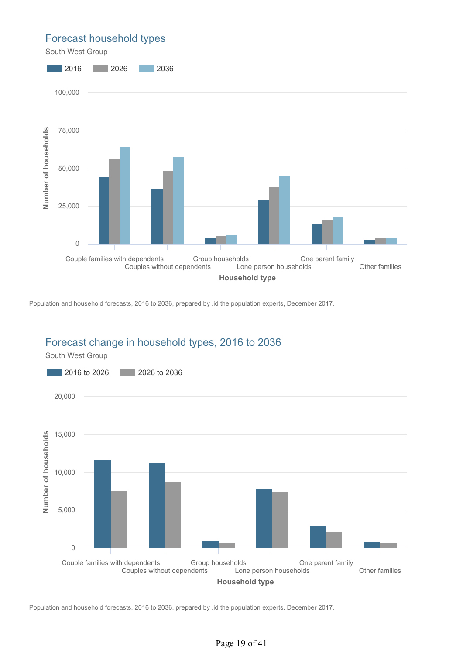#### Forecast household types

South West Group



Population and household forecasts, 2016 to 2036, prepared by .id the population experts, December 2017.



### Forecast change in household types, 2016 to 2036

Population and household forecasts, 2016 to 2036, prepared by .id the population experts, December 2017.

#### Page 19 of 41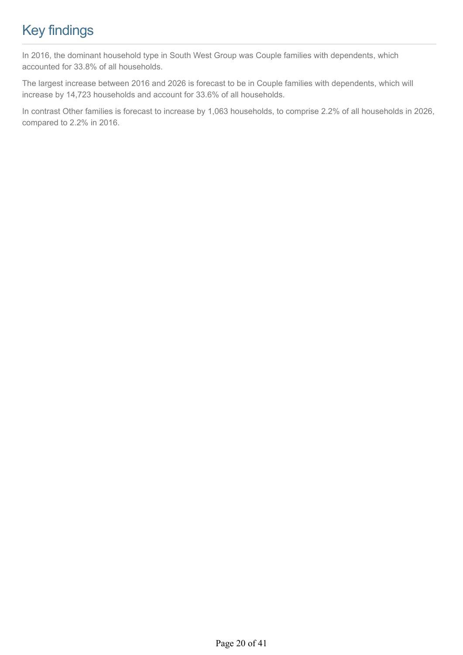# Key findings

In 2016, the dominant household type in South West Group was Couple families with dependents, which accounted for 33.8% of all households.

The largest increase between 2016 and 2026 is forecast to be in Couple families with dependents, which will increase by 14,723 households and account for 33.6% of all households.

In contrast Other families is forecast to increase by 1,063 households, to comprise 2.2% of all households in 2026, compared to 2.2% in 2016.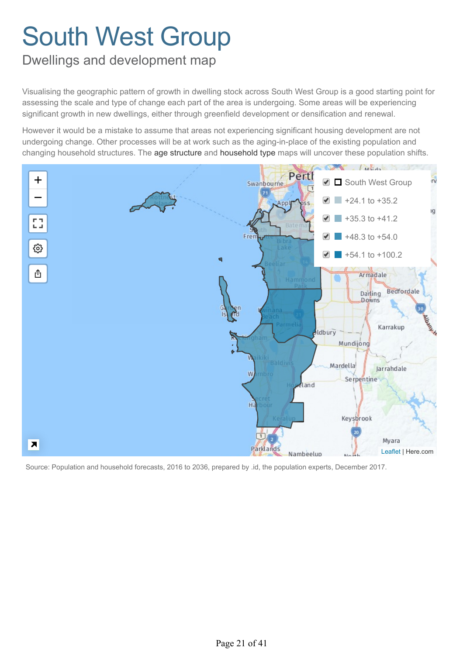## <span id="page-22-0"></span>Dwellings and development map

Visualising the geographic pattern of growth in dwelling stock across South West Group is a good starting point for assessing the scale and type of change each part of the area is undergoing. Some areas will be experiencing significant growth in new dwellings, either through greenfield development or densification and renewal.

However it would be a mistake to assume that areas not experiencing significant housing development are not undergoing change. Other processes will be at work such as the aging-in-place of the existing population and changing household structures. The age structure and household type maps will uncover these population shifts.

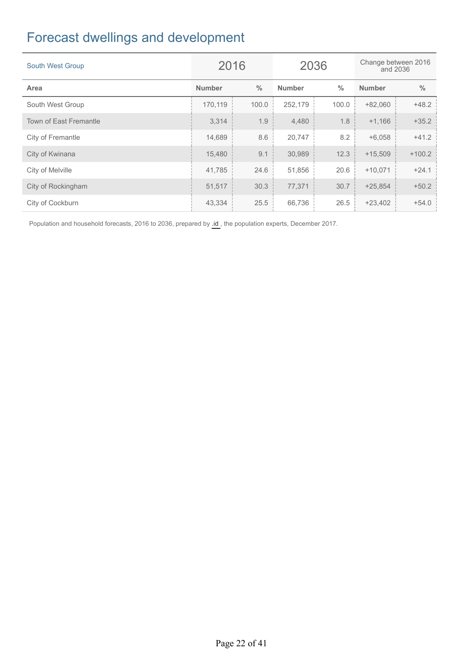# Forecast dwellings and development

| <b>South West Group</b> |               | 2036<br>2016  |               | Change between 2016<br>and 2036 |               |               |
|-------------------------|---------------|---------------|---------------|---------------------------------|---------------|---------------|
| Area                    | <b>Number</b> | $\frac{0}{0}$ | <b>Number</b> | $\frac{0}{0}$                   | <b>Number</b> | $\frac{0}{0}$ |
| South West Group        | 170,119       | 100.0         | 252,179       | 100.0                           | $+82,060$     | $+48.2$       |
| Town of East Fremantle  | 3,314         | 1.9           | 4,480         | 1.8                             | $+1,166$      | $+35.2$       |
| City of Fremantle       | 14,689        | 8.6           | 20,747        | 8.2                             | $+6,058$      | $+41.2$       |
| City of Kwinana         | 15,480        | 9.1           | 30,989        | 12.3                            | $+15,509$     | $+100.2$      |
| City of Melville        | 41,785        | 24.6          | 51,856        | 20.6                            | $+10,071$     | $+24.1$       |
| City of Rockingham      | 51,517        | 30.3          | 77,371        | 30.7                            | $+25,854$     | $+50.2$       |
| City of Cockburn        | 43,334        | 25.5          | 66,736        | 26.5                            | $+23,402$     | $+54.0$       |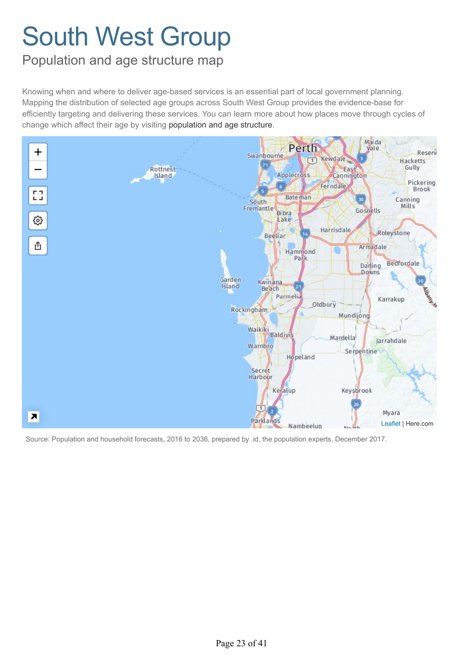## <span id="page-24-0"></span>Population and age structure map

Knowing when and where to deliver age-based services is an essential part of local government planning. Mapping the distribution of selected age groups across South West Group provides the evidence-base for efficiently targeting and delivering these services. You can learn more about how places move through cycles of change which affect their age by visiting population and age structure.

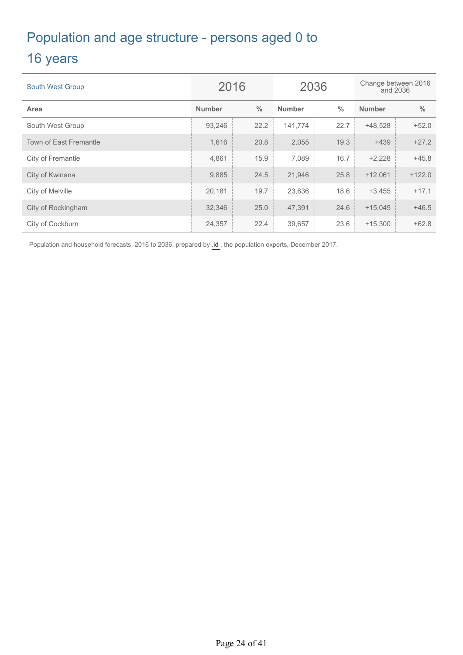# Population and age structure - persons aged 0 to

## 16 years

| <b>South West Group</b>       | 2016          |               | 2036          |               | Change between 2016<br>and 2036 |               |
|-------------------------------|---------------|---------------|---------------|---------------|---------------------------------|---------------|
| Area                          | <b>Number</b> | $\frac{0}{0}$ | <b>Number</b> | $\frac{0}{0}$ | <b>Number</b>                   | $\frac{0}{0}$ |
| South West Group              | 93,246        | 22.2          | 141,774       | 22.7          | $+48,528$                       | $+52.0$       |
| <b>Town of East Fremantle</b> | 1,616         | 20.8          | 2,055         | 19.3          | $+439$                          | $+27.2$       |
| City of Fremantle             | 4,861         | 15.9          | 7,089         | 16.7          | $+2,228$                        | $+45.8$       |
| City of Kwinana               | 9,885         | 24.5          | 21,946        | 25.8          | $+12,061$                       | $+122.0$      |
| City of Melville              | 20,181        | 19.7          | 23,636        | 18.6          | $+3,455$                        | $+17.1$       |
| City of Rockingham            | 32,346        | 25.0          | 47,391        | 24.6          | $+15,045$                       | $+46.5$       |
| City of Cockburn              | 24,357        | 22.4          | 39,657        | 23.6          | $+15,300$                       | $+62.8$       |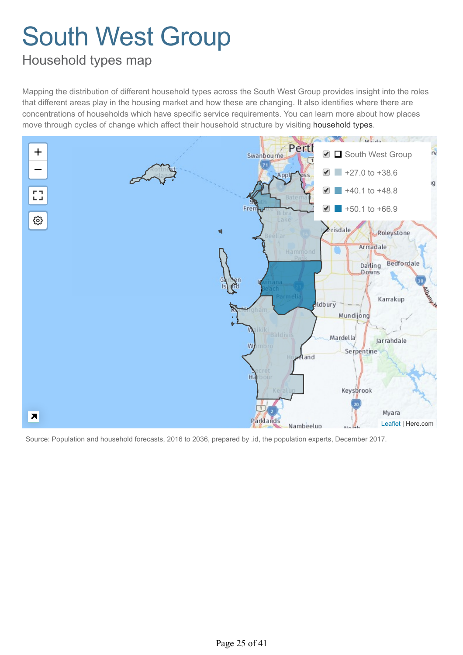# <span id="page-26-0"></span>Household types map

Mapping the distribution of different household types across the South West Group provides insight into the roles that different areas play in the housing market and how these are changing. It also identifies where there are concentrations of households which have specific service requirements. You can learn more about how places move through cycles of change which affect their household structure by visiting household types.

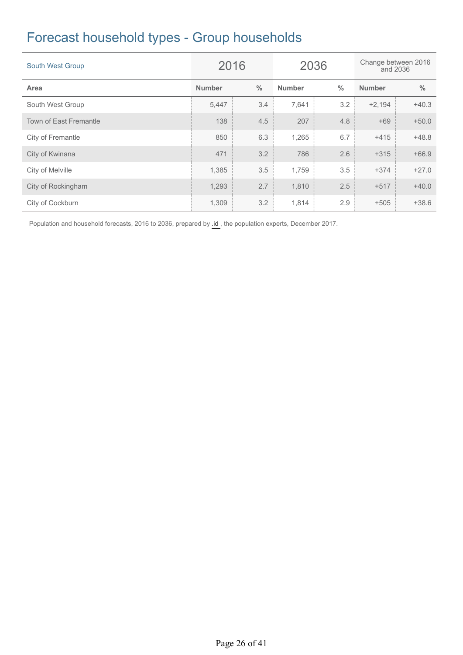# Forecast household types - Group households

| <b>South West Group</b> | 2016          |               | 2036          |               | Change between 2016<br>and 2036 |               |
|-------------------------|---------------|---------------|---------------|---------------|---------------------------------|---------------|
| Area                    | <b>Number</b> | $\frac{0}{0}$ | <b>Number</b> | $\frac{0}{0}$ | <b>Number</b>                   | $\frac{0}{0}$ |
| South West Group        | 5,447         | 3.4           | 7,641         | 3.2           | $+2,194$                        | $+40.3$       |
| Town of East Fremantle  | 138           | 4.5           | 207           | 4.8           | $+69$                           | $+50.0$       |
| City of Fremantle       | 850           | 6.3           | 1,265         | 6.7           | $+415$                          | $+48.8$       |
| City of Kwinana         | 471           | 3.2           | 786           | 2.6           | $+315$                          | $+66.9$       |
| City of Melville        | 1,385         | 3.5           | 1,759         | 3.5           | $+374$                          | $+27.0$       |
| City of Rockingham      | 1,293         | 2.7           | 1,810         | 2.5           | $+517$                          | $+40.0$       |
| City of Cockburn        | 1,309         | 3.2           | 1,814         | 2.9           | $+505$                          | $+38.6$       |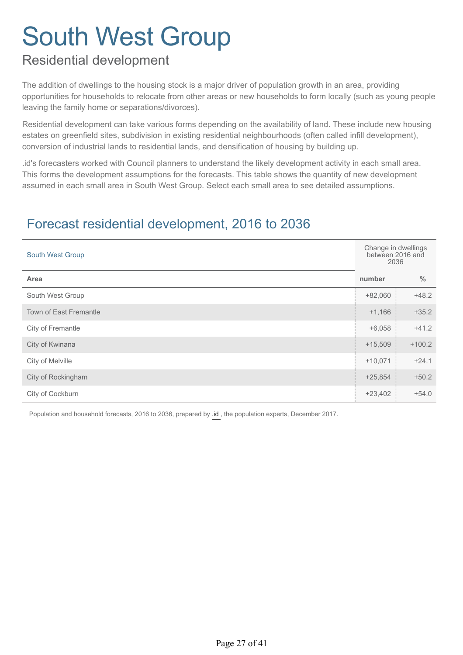# Residential development

The addition of dwellings to the housing stock is a major driver of population growth in an area, providing opportunities for households to relocate from other areas or new households to form locally (such as young people leaving the family home or separations/divorces).

Residential development can take various forms depending on the availability of land. These include new housing estates on greenfield sites, subdivision in existing residential neighbourhoods (often called infill development), conversion of industrial lands to residential lands, and densification of housing by building up.

.id's forecasters worked with Council planners to understand the likely development activity in each small area. This forms the development assumptions for the forecasts. This table shows the quantity of new development assumed in each small area in South West Group. Select each small area to see detailed assumptions.

# Forecast residential development, 2016 to 2036

| <b>South West Group</b>       | Change in dwellings<br>between 2016 and<br>2036 |               |
|-------------------------------|-------------------------------------------------|---------------|
| Area                          | number                                          | $\frac{0}{0}$ |
| South West Group              | $+82,060$                                       | $+48.2$       |
| <b>Town of East Fremantle</b> | $+1,166$                                        | $+35.2$       |
| City of Fremantle             | $+6,058$                                        | $+41.2$       |
| City of Kwinana               | $+15,509$                                       | $+100.2$      |
| City of Melville              | $+10,071$                                       | $+24.1$       |
| City of Rockingham            | $+25,854$                                       | $+50.2$       |
| City of Cockburn              | $+23,402$                                       | $+54.0$       |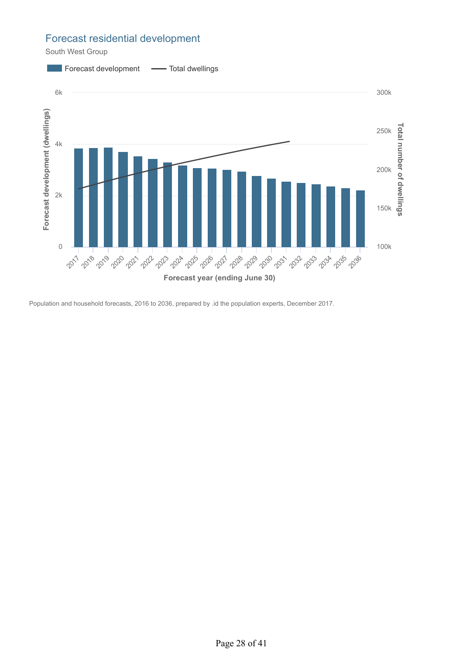### Forecast residential development

South West Group

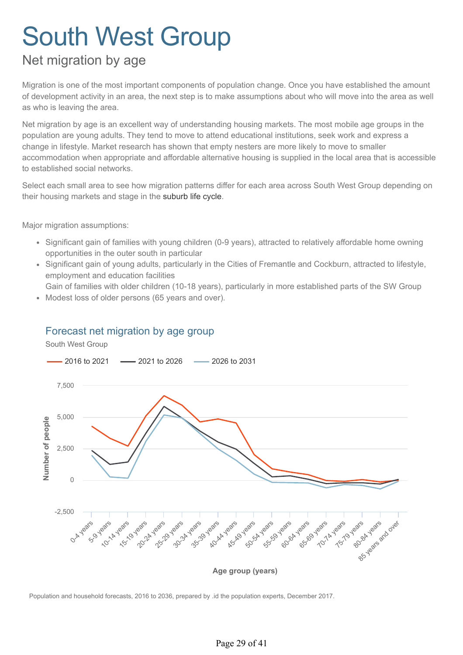# Net migration by age

Migration is one of the most important components of population change. Once you have established the amount of development activity in an area, the next step is to make assumptions about who will move into the area as well as who is leaving the area.

Net migration by age is an excellent way of understanding housing markets. The most mobile age groups in the population are young adults. They tend to move to attend educational institutions, seek work and express a change in lifestyle. Market research has shown that empty nesters are more likely to move to smaller accommodation when appropriate and affordable alternative housing is supplied in the local area that is accessible to established social networks.

Select each small area to see how migration patterns differ for each area across South West Group depending on their housing markets and stage in the suburb life cycle.

Major migration assumptions:

- Significant gain of families with young children (0-9 years), attracted to relatively affordable home owning opportunities in the outer south in particular
- Significant gain of young adults, particularly in the Cities of Fremantle and Cockburn, attracted to lifestyle, employment and education facilities
- Gain of families with older children (10-18 years), particularly in more established parts of the SW Group
- Modest loss of older persons (65 years and over).  $\sim$

### Forecast net migration by age group

![](_page_30_Figure_11.jpeg)

![](_page_30_Figure_12.jpeg)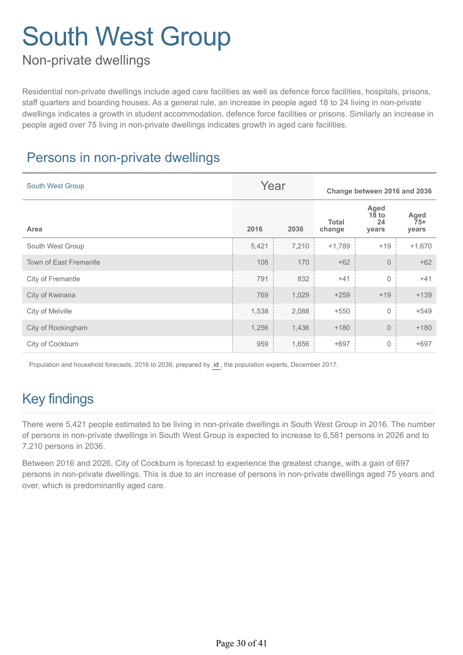# Non-private dwellings

Residential non-private dwellings include aged care facilities as well as defence force facilities, hospitals, prisons, staff quarters and boarding houses. As a general rule, an increase in people aged 18 to 24 living in non-private dwellings indicates a growth in student accommodation, defence force facilities or prisons. Similarly an increase in people aged over 75 living in non-private dwellings indicates growth in aged care facilities.

# Persons in non-private dwellings

| <b>South West Group</b>       |       | Year  | Change between 2016 and 2036 |                                |                        |
|-------------------------------|-------|-------|------------------------------|--------------------------------|------------------------|
| Area                          | 2016  | 2036  | <b>Total</b><br>change       | Aged<br>$18$ to<br>24<br>years | Aged<br>$75+$<br>years |
| South West Group              | 5,421 | 7,210 | $+1,789$                     | $+19$                          | $+1,670$               |
| <b>Town of East Fremantle</b> | 108   | 170   | $+62$                        | $\overline{0}$                 | $+62$                  |
| City of Fremantle             | 791   | 832   | $+41$                        | $\mathbf 0$                    | $+41$                  |
| City of Kwinana               | 769   | 1,029 | $+259$                       | $+19$                          | $+139$                 |
| City of Melville              | 1,538 | 2,088 | $+550$                       | $\mathsf{O}\xspace$            | $+549$                 |
| City of Rockingham            | 1,256 | 1,436 | $+180$                       | $\mathsf{O}\xspace$            | $+180$                 |
| City of Cockburn              | 959   | 1,656 | $+697$                       | $\mathsf{O}\xspace$            | $+697$                 |

Population and household forecasts, 2016 to 2036, prepared by [.id ,](http://home.id.com.au/about-us/) the population experts, December 2017.

# Key findings

There were 5,421 people estimated to be living in non-private dwellings in South West Group in 2016. The number of persons in non-private dwellings in South West Group is expected to increase to 6,581 persons in 2026 and to 7,210 persons in 2036.

Between 2016 and 2026, City of Cockburn is forecast to experience the greatest change, with a gain of 697 persons in non-private dwellings. This is due to an increase of persons in non-private dwellings aged 75 years and over, which is predominantly aged care.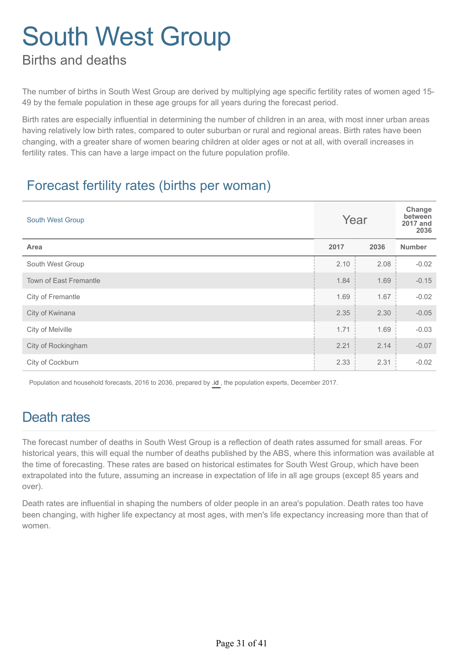## Births and deaths

The number of births in South West Group are derived by multiplying age specific fertility rates of women aged 15- 49 by the female population in these age groups for all years during the forecast period.

Birth rates are especially influential in determining the number of children in an area, with most inner urban areas having relatively low birth rates, compared to outer suburban or rural and regional areas. Birth rates have been changing, with a greater share of women bearing children at older ages or not at all, with overall increases in fertility rates. This can have a large impact on the future population profile.

## Forecast fertility rates (births per woman)

| South West Group              | Year |      | Change<br>between<br><b>2017 and</b><br>2036 |
|-------------------------------|------|------|----------------------------------------------|
| Area                          | 2017 | 2036 | <b>Number</b>                                |
| South West Group              | 2.10 | 2.08 | $-0.02$                                      |
| <b>Town of East Fremantle</b> | 1.84 | 1.69 | $-0.15$                                      |
| City of Fremantle             | 1.69 | 1.67 | $-0.02$                                      |
| City of Kwinana               | 2.35 | 2.30 | $-0.05$                                      |
| City of Melville              | 1.71 | 1.69 | $-0.03$                                      |
| City of Rockingham            | 2.21 | 2.14 | $-0.07$                                      |
| City of Cockburn              | 2.33 | 2.31 | $-0.02$                                      |

Population and household forecasts, 2016 to 2036, prepared by [.id ,](http://home.id.com.au/about-us/) the population experts, December 2017.

# Death rates

The forecast number of deaths in South West Group is a reflection of death rates assumed for small areas. For historical years, this will equal the number of deaths published by the ABS, where this information was available at the time of forecasting. These rates are based on historical estimates for South West Group, which have been extrapolated into the future, assuming an increase in expectation of life in all age groups (except 85 years and over).

Death rates are influential in shaping the numbers of older people in an area's population. Death rates too have been changing, with higher life expectancy at most ages, with men's life expectancy increasing more than that of women.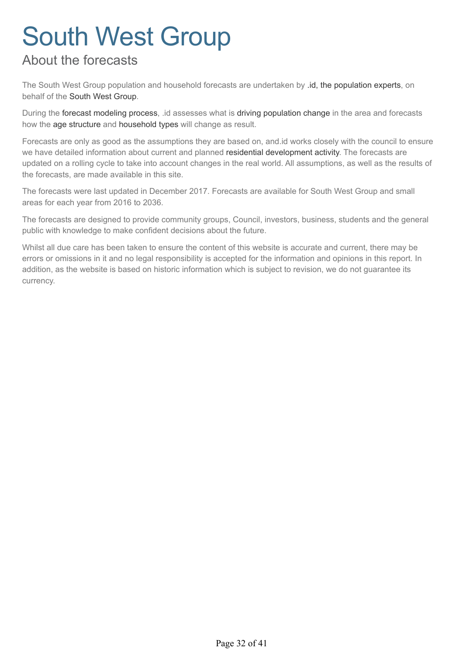# About the forecasts

The South West Group population and household forecasts are undertaken by .id, the population experts, on behalf of the South West Group.

During the forecast modeling process, .id assesses what is driving population change in the area and forecasts how the age structure and household types will change as result.

Forecasts are only as good as the assumptions they are based on, and.id works closely with the council to ensure we have detailed information about current and planned residential development activity. The forecasts are updated on a rolling cycle to take into account changes in the real world. All assumptions, as well as the results of the forecasts, are made available in this site.

The forecasts were last updated in December 2017. Forecasts are available for South West Group and small areas for each year from 2016 to 2036.

The forecasts are designed to provide community groups, Council, investors, business, students and the general public with knowledge to make confident decisions about the future.

Whilst all due care has been taken to ensure the content of this website is accurate and current, there may be errors or omissions in it and no legal responsibility is accepted for the information and opinions in this report. In addition, as the website is based on historic information which is subject to revision, we do not guarantee its currency.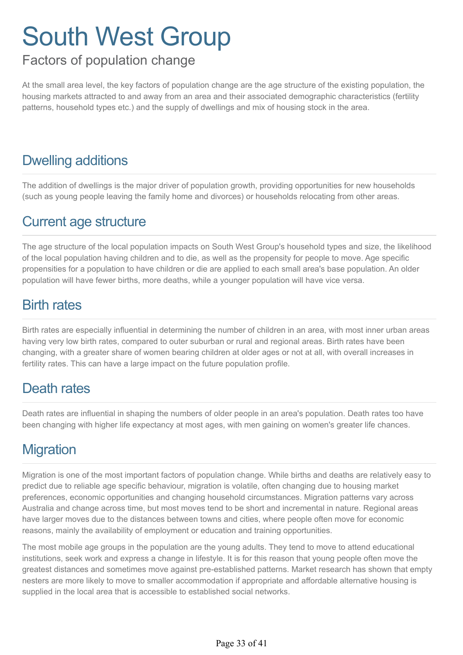# Factors of population change

At the small area level, the key factors of population change are the age structure of the existing population, the housing markets attracted to and away from an area and their associated demographic characteristics (fertility patterns, household types etc.) and the supply of dwellings and mix of housing stock in the area.

# Dwelling additions

The addition of dwellings is the major driver of population growth, providing opportunities for new households (such as young people leaving the family home and divorces) or households relocating from other areas.

## Current age structure

The age structure of the local population impacts on South West Group's household types and size, the likelihood of the local population having children and to die, as well as the propensity for people to move. Age specific propensities for a population to have children or die are applied to each small area's base population. An older population will have fewer births, more deaths, while a younger population will have vice versa.

### Birth rates

Birth rates are especially influential in determining the number of children in an area, with most inner urban areas having very low birth rates, compared to outer suburban or rural and regional areas. Birth rates have been changing, with a greater share of women bearing children at older ages or not at all, with overall increases in fertility rates. This can have a large impact on the future population profile.

## Death rates

Death rates are influential in shaping the numbers of older people in an area's population. Death rates too have been changing with higher life expectancy at most ages, with men gaining on women's greater life chances.

# **Migration**

Migration is one of the most important factors of population change. While births and deaths are relatively easy to predict due to reliable age specific behaviour, migration is volatile, often changing due to housing market preferences, economic opportunities and changing household circumstances. Migration patterns vary across Australia and change across time, but most moves tend to be short and incremental in nature. Regional areas have larger moves due to the distances between towns and cities, where people often move for economic reasons, mainly the availability of employment or education and training opportunities.

The most mobile age groups in the population are the young adults. They tend to move to attend educational institutions, seek work and express a change in lifestyle. It is for this reason that young people often move the greatest distances and sometimes move against pre-established patterns. Market research has shown that empty nesters are more likely to move to smaller accommodation if appropriate and affordable alternative housing is supplied in the local area that is accessible to established social networks.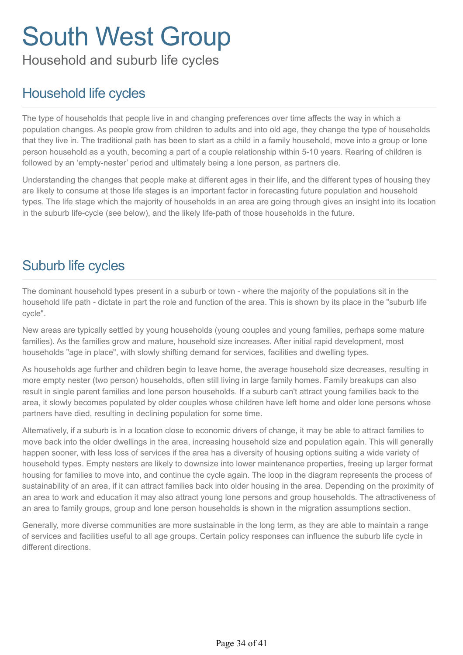Household and suburb life cycles

# Household life cycles

The type of households that people live in and changing preferences over time affects the way in which a population changes. As people grow from children to adults and into old age, they change the type of households that they live in. The traditional path has been to start as a child in a family household, move into a group or lone person household as a youth, becoming a part of a couple relationship within 5-10 years. Rearing of children is followed by an 'empty-nester' period and ultimately being a lone person, as partners die.

Understanding the changes that people make at different ages in their life, and the different types of housing they are likely to consume at those life stages is an important factor in forecasting future population and household types. The life stage which the majority of households in an area are going through gives an insight into its location in the suburb life-cycle (see below), and the likely life-path of those households in the future.

# Suburb life cycles

The dominant household types present in a suburb or town - where the majority of the populations sit in the household life path - dictate in part the role and function of the area. This is shown by its place in the "suburb life cycle".

New areas are typically settled by young households (young couples and young families, perhaps some mature families). As the families grow and mature, household size increases. After initial rapid development, most households "age in place", with slowly shifting demand for services, facilities and dwelling types.

As households age further and children begin to leave home, the average household size decreases, resulting in more empty nester (two person) households, often still living in large family homes. Family breakups can also result in single parent families and lone person households. If a suburb can't attract young families back to the area, it slowly becomes populated by older couples whose children have left home and older lone persons whose partners have died, resulting in declining population for some time.

Alternatively, if a suburb is in a location close to economic drivers of change, it may be able to attract families to move back into the older dwellings in the area, increasing household size and population again. This will generally happen sooner, with less loss of services if the area has a diversity of housing options suiting a wide variety of household types. Empty nesters are likely to downsize into lower maintenance properties, freeing up larger format housing for families to move into, and continue the cycle again. The loop in the diagram represents the process of sustainability of an area, if it can attract families back into older housing in the area. Depending on the proximity of an area to work and education it may also attract young lone persons and group households. The attractiveness of an area to family groups, group and lone person households is shown in the migration assumptions section.

Generally, more diverse communities are more sustainable in the long term, as they are able to maintain a range of services and facilities useful to all age groups. Certain policy responses can influence the suburb life cycle in different directions.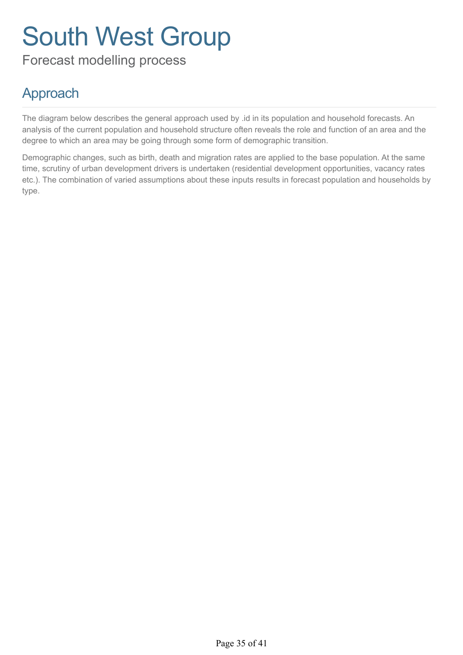Forecast modelling process

# Approach

The diagram below describes the general approach used by .id in its population and household forecasts. An analysis of the current population and household structure often reveals the role and function of an area and the degree to which an area may be going through some form of demographic transition.

Demographic changes, such as birth, death and migration rates are applied to the base population. At the same time, scrutiny of urban development drivers is undertaken (residential development opportunities, vacancy rates etc.). The combination of varied assumptions about these inputs results in forecast population and households by type.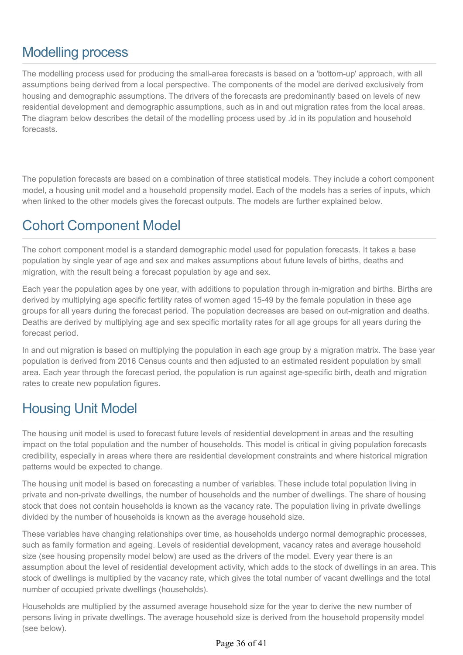# Modelling process

The modelling process used for producing the small-area forecasts is based on a 'bottom-up' approach, with all assumptions being derived from a local perspective. The components of the model are derived exclusively from housing and demographic assumptions. The drivers of the forecasts are predominantly based on levels of new residential development and demographic assumptions, such as in and out migration rates from the local areas. The diagram below describes the detail of the modelling process used by .id in its population and household forecasts.

The population forecasts are based on a combination of three statistical models. They include a cohort component model, a housing unit model and a household propensity model. Each of the models has a series of inputs, which when linked to the other models gives the forecast outputs. The models are further explained below.

# Cohort Component Model

The cohort component model is a standard demographic model used for population forecasts. It takes a base population by single year of age and sex and makes assumptions about future levels of births, deaths and migration, with the result being a forecast population by age and sex.

Each year the population ages by one year, with additions to population through in-migration and births. Births are derived by multiplying age specific fertility rates of women aged 15-49 by the female population in these age groups for all years during the forecast period. The population decreases are based on out-migration and deaths. Deaths are derived by multiplying age and sex specific mortality rates for all age groups for all years during the forecast period.

In and out migration is based on multiplying the population in each age group by a migration matrix. The base year population is derived from 2016 Census counts and then adjusted to an estimated resident population by small area. Each year through the forecast period, the population is run against age-specific birth, death and migration rates to create new population figures.

# Housing Unit Model

The housing unit model is used to forecast future levels of residential development in areas and the resulting impact on the total population and the number of households. This model is critical in giving population forecasts credibility, especially in areas where there are residential development constraints and where historical migration patterns would be expected to change.

The housing unit model is based on forecasting a number of variables. These include total population living in private and non-private dwellings, the number of households and the number of dwellings. The share of housing stock that does not contain households is known as the vacancy rate. The population living in private dwellings divided by the number of households is known as the average household size.

These variables have changing relationships over time, as households undergo normal demographic processes, such as family formation and ageing. Levels of residential development, vacancy rates and average household size (see housing propensity model below) are used as the drivers of the model. Every year there is an assumption about the level of residential development activity, which adds to the stock of dwellings in an area. This stock of dwellings is multiplied by the vacancy rate, which gives the total number of vacant dwellings and the total number of occupied private dwellings (households).

Households are multiplied by the assumed average household size for the year to derive the new number of persons living in private dwellings. The average household size is derived from the household propensity model (see below).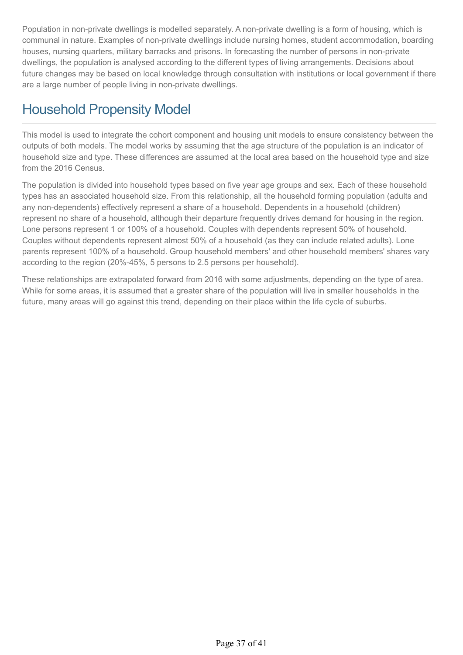Population in non-private dwellings is modelled separately. A non-private dwelling is a form of housing, which is communal in nature. Examples of non-private dwellings include nursing homes, student accommodation, boarding houses, nursing quarters, military barracks and prisons. In forecasting the number of persons in non-private dwellings, the population is analysed according to the different types of living arrangements. Decisions about future changes may be based on local knowledge through consultation with institutions or local government if there are a large number of people living in non-private dwellings.

# Household Propensity Model

This model is used to integrate the cohort component and housing unit models to ensure consistency between the outputs of both models. The model works by assuming that the age structure of the population is an indicator of household size and type. These differences are assumed at the local area based on the household type and size from the 2016 Census.

The population is divided into household types based on five year age groups and sex. Each of these household types has an associated household size. From this relationship, all the household forming population (adults and any non-dependents) effectively represent a share of a household. Dependents in a household (children) represent no share of a household, although their departure frequently drives demand for housing in the region. Lone persons represent 1 or 100% of a household. Couples with dependents represent 50% of household. Couples without dependents represent almost 50% of a household (as they can include related adults). Lone parents represent 100% of a household. Group household members' and other household members' shares vary according to the region (20%-45%, 5 persons to 2.5 persons per household).

These relationships are extrapolated forward from 2016 with some adjustments, depending on the type of area. While for some areas, it is assumed that a greater share of the population will live in smaller households in the future, many areas will go against this trend, depending on their place within the life cycle of suburbs.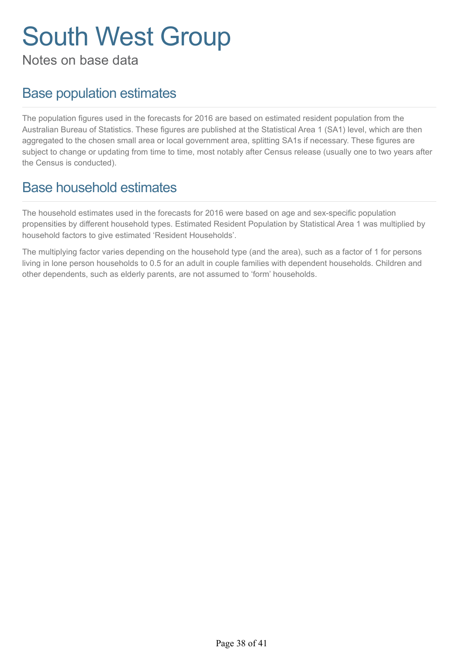Notes on base data

# Base population estimates

The population figures used in the forecasts for 2016 are based on estimated resident population from the Australian Bureau of Statistics. These figures are published at the Statistical Area 1 (SA1) level, which are then aggregated to the chosen small area or local government area, splitting SA1s if necessary. These figures are subject to change or updating from time to time, most notably after Census release (usually one to two years after the Census is conducted).

# Base household estimates

The household estimates used in the forecasts for 2016 were based on age and sex-specific population propensities by different household types. Estimated Resident Population by Statistical Area 1 was multiplied by household factors to give estimated 'Resident Households'.

The multiplying factor varies depending on the household type (and the area), such as a factor of 1 for persons living in lone person households to 0.5 for an adult in couple families with dependent households. Children and other dependents, such as elderly parents, are not assumed to 'form' households.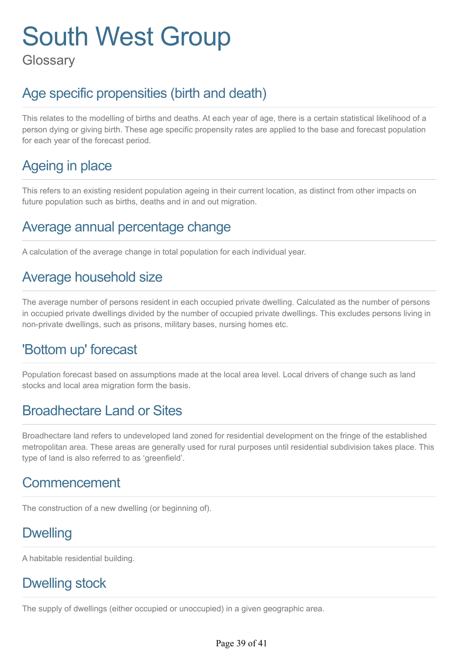**Glossary** 

# Age specific propensities (birth and death)

This relates to the modelling of births and deaths. At each year of age, there is a certain statistical likelihood of a person dying or giving birth. These age specific propensity rates are applied to the base and forecast population for each year of the forecast period.

# Ageing in place

This refers to an existing resident population ageing in their current location, as distinct from other impacts on future population such as births, deaths and in and out migration.

# Average annual percentage change

A calculation of the average change in total population for each individual year.

## Average household size

The average number of persons resident in each occupied private dwelling. Calculated as the number of persons in occupied private dwellings divided by the number of occupied private dwellings. This excludes persons living in non-private dwellings, such as prisons, military bases, nursing homes etc.

## 'Bottom up' forecast

Population forecast based on assumptions made at the local area level. Local drivers of change such as land stocks and local area migration form the basis.

# Broadhectare Land or Sites

Broadhectare land refers to undeveloped land zoned for residential development on the fringe of the established metropolitan area. These areas are generally used for rural purposes until residential subdivision takes place. This type of land is also referred to as 'greenfield'.

## Commencement

The construction of a new dwelling (or beginning of).

# **Dwelling**

A habitable residential building.

## Dwelling stock

The supply of dwellings (either occupied or unoccupied) in a given geographic area.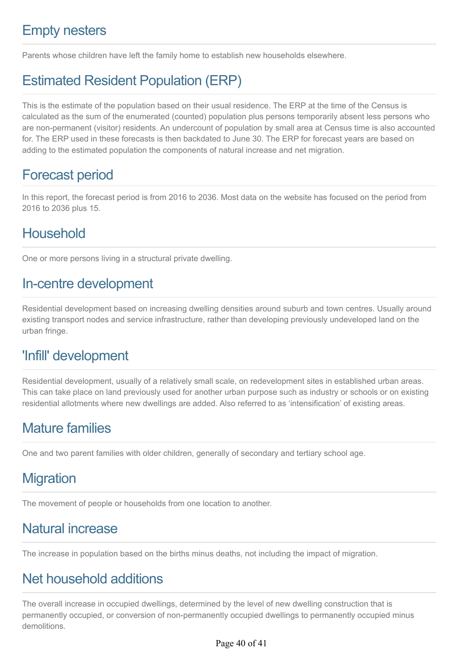# Empty nesters

Parents whose children have left the family home to establish new households elsewhere.

# Estimated Resident Population (ERP)

This is the estimate of the population based on their usual residence. The ERP at the time of the Census is calculated as the sum of the enumerated (counted) population plus persons temporarily absent less persons who are non-permanent (visitor) residents. An undercount of population by small area at Census time is also accounted for. The ERP used in these forecasts is then backdated to June 30. The ERP for forecast years are based on adding to the estimated population the components of natural increase and net migration.

## Forecast period

In this report, the forecast period is from 2016 to 2036. Most data on the website has focused on the period from 2016 to 2036 plus 15.

# **Household**

One or more persons living in a structural private dwelling.

## In-centre development

Residential development based on increasing dwelling densities around suburb and town centres. Usually around existing transport nodes and service infrastructure, rather than developing previously undeveloped land on the urban fringe.

## 'Infill' development

Residential development, usually of a relatively small scale, on redevelopment sites in established urban areas. This can take place on land previously used for another urban purpose such as industry or schools or on existing residential allotments where new dwellings are added. Also referred to as 'intensification' of existing areas.

# Mature families

One and two parent families with older children, generally of secondary and tertiary school age.

# **Migration**

The movement of people or households from one location to another.

# Natural increase

The increase in population based on the births minus deaths, not including the impact of migration.

## Net household additions

The overall increase in occupied dwellings, determined by the level of new dwelling construction that is permanently occupied, or conversion of non-permanently occupied dwellings to permanently occupied minus demolitions.